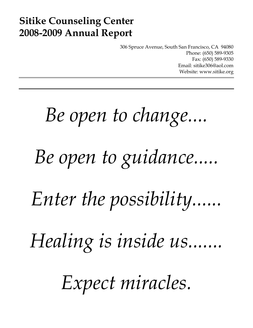## **Sitike Counseling Center 2008-2009 Annual Report**

306 Spruce Avenue, South San Francisco, CA 94080 Phone: (650) 589-9305 Fax: (650) 589-9330 Email: sitike306@aol.com Website: www.sitike.org

# *Be open to change.... Be open to guidance..... Enter the possibility...... Healing is inside us....... Expect miracles.*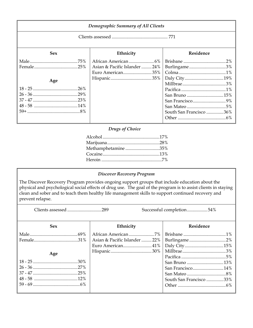| Demographic Summary of All Clients |                                                   |                                                                                                                                                                                                                                                                                                                                               |  |
|------------------------------------|---------------------------------------------------|-----------------------------------------------------------------------------------------------------------------------------------------------------------------------------------------------------------------------------------------------------------------------------------------------------------------------------------------------|--|
|                                    |                                                   |                                                                                                                                                                                                                                                                                                                                               |  |
| <b>Sex</b>                         | Ethnicity                                         | <b>Residence</b>                                                                                                                                                                                                                                                                                                                              |  |
| Age                                | Asian & Pacific Islander  24%<br>Euro American35% | $\textbf{Burlingame}\dots\hspace{-0.5mm}\dots\hspace{-0.5mm}\dots\hspace{-0.5mm}\dots\hspace{-0.5mm}\dots\hspace{-0.5mm}\dots\hspace{-0.5mm}\dots\hspace{-0.5mm}\dots\hspace{-0.5mm}\dots\hspace{-0.5mm}\dots\hspace{-0.5mm}\dots\hspace{-0.5mm}\dots\hspace{-0.5mm}\dots\hspace{-0.5mm}\dots\hspace{-0.5mm}\dots$<br>South San Francisco 36% |  |

#### *Drugs of Choice*

| Methamphetamine35% |  |
|--------------------|--|
|                    |  |
|                    |  |

#### *Discover Recovery Program*

The Discover Recovery Program provides ongoing support groups that include education about the physical and psychological social effects of drug use. The goal of the program is to assist clients in staying clean and sober and to teach them healthy life management skills to support continued recovery and prevent relapse.

Clients assessed ..............................289 Successful completion..................54%

| <b>Sex</b> | Ethnicity                    | Residence               |
|------------|------------------------------|-------------------------|
|            |                              |                         |
|            | Asian & Pacific Islander 22% |                         |
|            | Euro American41%             |                         |
|            |                              |                         |
| Age        |                              |                         |
|            |                              |                         |
|            |                              | San Francisco14%        |
|            |                              |                         |
|            |                              | South San Francisco 33% |
|            |                              |                         |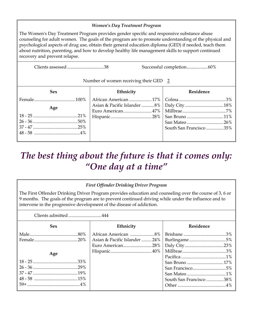#### *Women's Day Treatment Program*

The Women's Day Treatment Program provides gender specific and responsive substance abuse counseling for adult women. The goals of the program are to promote understanding of the physical and psychological aspects of drug use, obtain their general education diploma (GED) if needed, teach them about nutrition, parenting, and how to develop healthy life management skills to support continued recovery and prevent relapse.

Clients assessed ................................38 Successful completion..................60%

#### Number of women receiving their GED 2

| <b>Sex</b> | Ethnicity | Residence               |
|------------|-----------|-------------------------|
|            |           |                         |
| Age        |           |                         |
|            |           |                         |
|            |           |                         |
|            |           |                         |
|            |           | South San Francisco 35% |
|            |           |                         |
|            |           |                         |

### *The best thing about the future is that it comes only: "One day at a time"*

#### *First Offender Drinking Driver Program*

The First Offender Drinking Driver Program provides education and counseling over the course of 3, 6 or 9 months. The goals of the program are to prevent continued driving while under the influence and to intervene in the progressive development of the disease of addiction.

| Clients admitted444 |                              |                         |  |
|---------------------|------------------------------|-------------------------|--|
| <b>Sex</b>          | Ethnicity                    | Residence               |  |
|                     |                              |                         |  |
|                     | Asian & Pacific Islander 24% |                         |  |
|                     | Euro American28%             |                         |  |
| Age                 |                              |                         |  |
|                     |                              |                         |  |
|                     |                              |                         |  |
|                     |                              | San Francisco5%         |  |
|                     |                              |                         |  |
|                     |                              | South San Francisco 38% |  |
|                     |                              |                         |  |